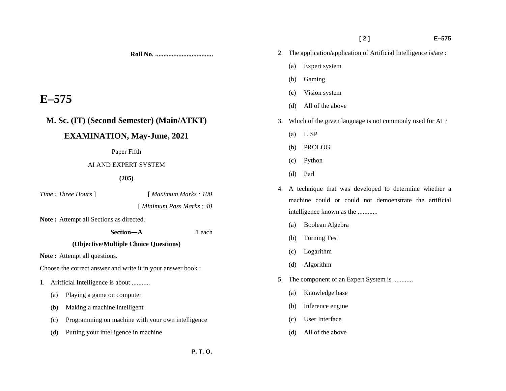**Roll No. ...................................** 

# **E–575**

# **M. Sc. (IT) (Second Semester) (Main/ATKT)**

# **EXAMINATION, May-June, 2021**

### Paper Fifth

## AI AND EXPERT SYSTEM

## **(205)**

*Time : Three Hours* ] [ *Maximum Marks : 100* 

## [ *Minimum Pass Marks : 40*

**Note :** Attempt all Sections as directed.

 **Section—A** 1 each

# **(Objective/Multiple Choice Questions)**

Note: Attempt all questions.

Choose the correct answer and write it in your answer book :

- 1. Aritficial Intelligence is about ...........
	- (a) Playing a game on computer
	- (b) Making a machine intelligent
	- (c) Programming on machine with your own intelligence
	- (d) Putting your intelligence in machine

2. The application/application of Artificial Intelligence is/are :

 **[ 2 ] E–575** 

- (a) Expert system
- (b) Gaming
- (c) Vision system
- (d) All of the above
- 3. Which of the given language is not commonly used for AI ?
	- (a) LISP
	- (b) PROLOG
	- (c) Python
	- (d) Perl
- 4. A technique that was developed to determine whether a machine could or could not demoenstrate the artificial intelligence known as the ............
	- (a) Boolean Algebra
	- (b) Turning Test
	- (c) Logarithm
	- (d) Algorithm
- 5. The component of an Expert System is ............
	- (a) Knowledge base
	- (b) Inference engine
	- (c) User Interface
	- (d) All of the above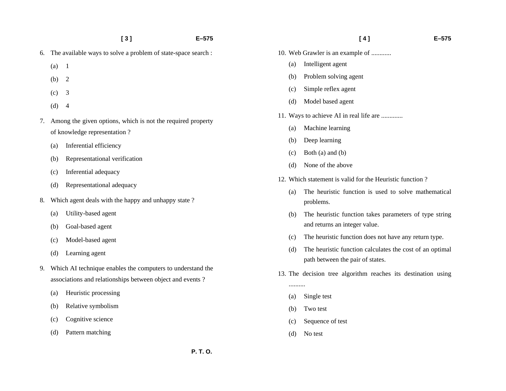| $\lceil 3 \rceil$ |  |
|-------------------|--|
|                   |  |

 **[ 3 ] E–575** 

- 6. The available ways to solve a problem of state-space search :
	- (a) 1
	- (b) 2
	- (c) 3
	- $(d) 4$
- 7. Among the given options, which is not the required property of knowledge representation ?
	- (a) Inferential efficiency
	- (b) Representational verification
	- (c) Inferential adequacy
	- (d) Representational adequacy
- 8. Which agent deals with the happy and unhappy state ?
	- (a) Utility-based agent
	- (b) Goal-based agent
	- (c) Model-based agent
	- (d) Learning agent
- 9. Which AI technique enables the computers to understand the associations and relationships between object and events ?
	- (a) Heuristic processing
	- (b) Relative symbolism
	- (c) Cognitive science
	- (d) Pattern matching
- 10. Web Grawler is an example of ............
	- (a) Intelligent agent
	- (b) Problem solving agent
	- (c) Simple reflex agent
	- (d) Model based agent
- 11. Ways to achieve AI in real life are .............
	- (a) Machine learning
	- (b) Deep learning
	- (c) Both (a) and (b)
	- (d) None of the above
- 12. Which statement is valid for the Heuristic function ?
	- (a) The heuristic function is used to solve mathematical problems.
	- (b) The heuristic function takes parameters of type string and returns an integer value.
	- (c) The heuristic function does not have any return type.
	- (d) The heuristic function calculates the cost of an optimal path between the pair of states.
- 13. The decision tree algorithm reaches its destination using
	- (a) Single test
	- (b) Two test

..........

- (c) Sequence of test
- (d) No test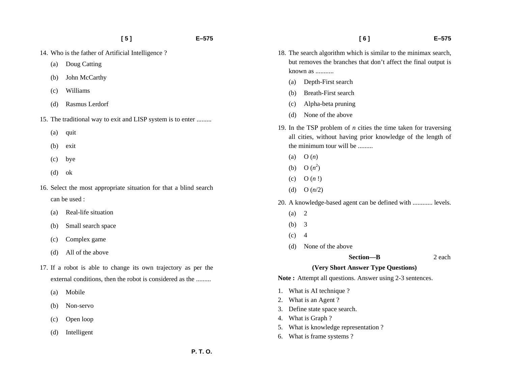- 14. Who is the father of Artificial Intelligence ?
	- (a) Doug Catting
	- (b) John McCarthy
	- (c) Williams
	- (d) Rasmus Lerdorf
- 15. The traditional way to exit and LISP system is to enter .........
	- (a) quit
	- (b) exit
	- (c) bye
	- (d) ok
- 16. Select the most appropriate situation for that a blind search can be used :
	- (a) Real-life situation
	- (b) Small search space
	- (c) Complex game
	- (d) All of the above
- 17. If a robot is able to change its own trajectory as per the external conditions, then the robot is considered as the .........
	- (a) Mobile
	- (b) Non-servo
	- (c) Open loop
	- (d) Intelligent
- 18. The search algorithm which is similar to the minimax search, but removes the branches that don't affect the final output is known as ...........
	- (a) Depth-First search
	- (b) Breath-First search
	- (c) Alpha-beta pruning
	- (d) None of the above
- 19. In the TSP problem of *n* cities the time taken for traversing all cities, without having prior knowledge of the length of the minimum tour will be .........
	- (a) O (*n*)
	- (b) O  $(n^2)$
	- (c) O (*n* !)
	- (d) O (*n*/2)
- 20. A knowledge-based agent can be defined with ............ levels.
	- $(a) 2$
	- (b) 3
	- $(c)$  4
	- (d) None of the above

#### **Section—B** 2 each

## **(Very Short Answer Type Questions)**

Note: Attempt all questions. Answer using 2-3 sentences.

- 1. What is AI technique ?
- 2. What is an Agent ?
- 3. Define state space search.
- 4. What is Graph ?
- 5. What is knowledge representation ?
- 6. What is frame systems ?